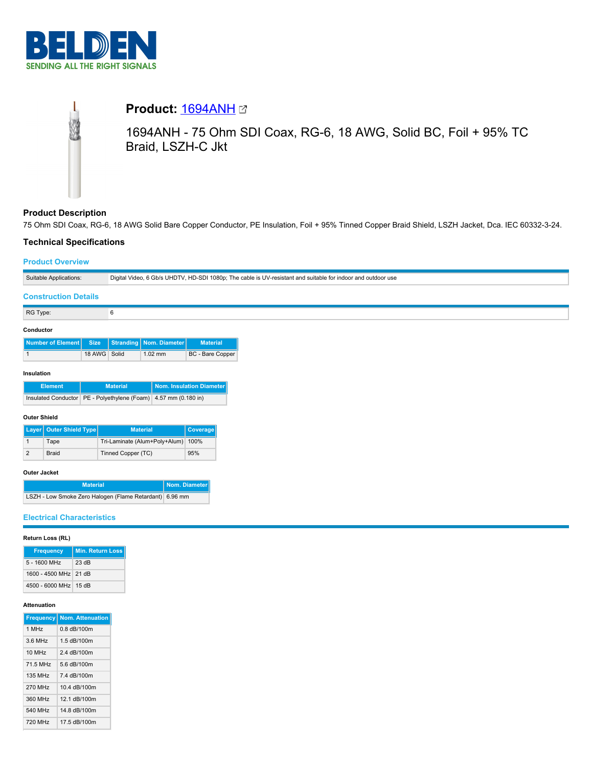



# **Product Description**

75 Ohm SDI Coax, RG-6, 18 AWG Solid Bare Copper Conductor, PE Insulation, Foil + 95% Tinned Copper Braid Shield, LSZH Jacket, Dca. IEC 60332-3-24.

## **Technical Specifications**

## **Product Overview**

| Suitable Applications:      | Digital Video, 6 Gb/s UHDTV, HD-SDI 1080p; The cable is UV-resistant and suitable for indoor and outdoor use |
|-----------------------------|--------------------------------------------------------------------------------------------------------------|
| <b>Construction Details</b> |                                                                                                              |
| RG Type:                    |                                                                                                              |

### **Conductor**

| Number of Element Size Stranding Nom. Diameter |              |           | <b>Material</b>  |
|------------------------------------------------|--------------|-----------|------------------|
|                                                | 18 AWG Solid | $1.02$ mm | BC - Bare Copper |

### **Insulation**

| <b>Element</b> | <b>Material</b>                                                     | Nom. Insulation Diameter |
|----------------|---------------------------------------------------------------------|--------------------------|
|                | Insulated Conductor   PE - Polyethylene (Foam)   4.57 mm (0.180 in) |                          |

### **Outer Shield**

| Layer   Outer Shield Type | <b>Material</b>                    | <b>Coverage</b> |
|---------------------------|------------------------------------|-----------------|
| Tape                      | Tri-Laminate (Alum+Poly+Alum) 100% |                 |
| Braid                     | Tinned Copper (TC)                 | 95%             |

### **Outer Jacket**

| <b>Material</b>                                         | Nom. Diameter |
|---------------------------------------------------------|---------------|
| LSZH - Low Smoke Zero Halogen (Flame Retardant) 6.96 mm |               |

# **Electrical Characteristics**

## **Return Loss (RL)**

| <b>Frequency</b>      | <b>Min. Return Loss</b> |
|-----------------------|-------------------------|
| $5 - 1600$ MHz        | 23 dB                   |
| 1600 - 4500 MHz 21 dB |                         |
| 4500 - 6000 MHz 15 dB |                         |

#### **Attenuation**

| <b>Frequency</b>   | <b>Nom. Attenuation</b> |
|--------------------|-------------------------|
| 1 MH <sub>z</sub>  | $0.8$ dB/100 $m$        |
| 3.6 MHz            | 1.5 dB/100m             |
| 10 MH <sub>z</sub> | 2.4 dB/100m             |
| 71.5 MHz           | 5 6 dB/100m             |
| 135 MHz            | 74 dB/100m              |
| <b>270 MHz</b>     | 10.4 dB/100m            |
| 360 MHz            | 12 1 dB/100m            |
| 540 MHz            | 14 8 dB/100m            |
| 720 MHz            | 17.5 dB/100m            |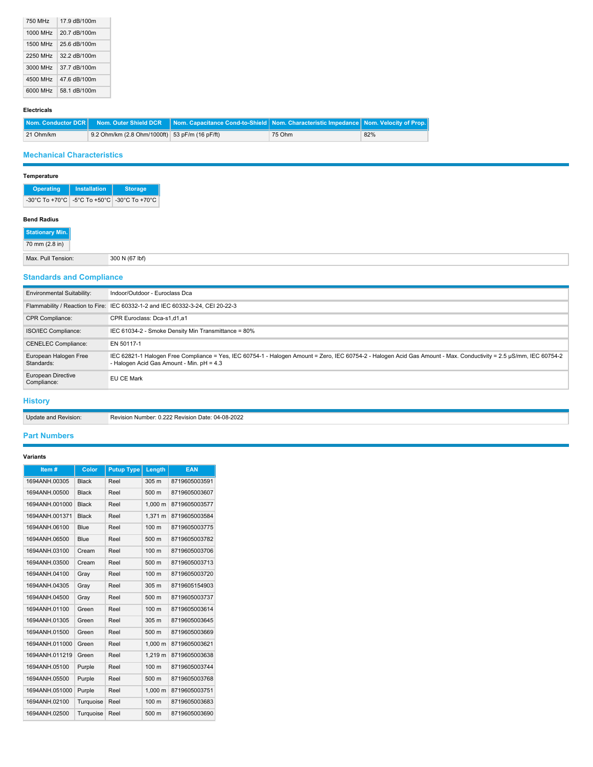| 750 MHz  | 17.9 dB/100m |
|----------|--------------|
| 1000 MHz | 20.7 dB/100m |
| 1500 MHz | 25.6 dB/100m |
| 2250 MHz | 32.2 dB/100m |
| 3000 MHz | 37.7 dB/100m |
| 4500 MHz | 47.6 dB/100m |
| 6000 MHz | 58.1 dB/100m |

## **Electricals**

|           |                                                | <b>Nom. Conductor DCR   Nom. Outer Shield DCR   Nom. Capacitance Cond-to-Shield   Nom. Characteristic Impedance   Nom. Velocity of Prop.   </b> |        |     |
|-----------|------------------------------------------------|-------------------------------------------------------------------------------------------------------------------------------------------------|--------|-----|
| 21 Ohm/km | 9.2 Ohm/km (2.8 Ohm/1000ft) 53 pF/m (16 pF/ft) |                                                                                                                                                 | 75 Ohm | 82% |

# **Mechanical Characteristics**

# **Temperature**

| <b>Operating</b>                                                                                           | <b>Installation</b> | <b>Storage</b> |
|------------------------------------------------------------------------------------------------------------|---------------------|----------------|
| $-30^{\circ}$ C To +70 $^{\circ}$ C $-5^{\circ}$ C To +50 $^{\circ}$ C $-30^{\circ}$ C To +70 $^{\circ}$ C |                     |                |

# **Bend Radius**

| Max. F   | l (67 lbf) |
|----------|------------|
| lension: |            |
|          |            |
|          |            |

# **Standards and Compliance**

| <b>Environmental Suitability:</b>   | Indoor/Outdoor - Euroclass Dca                                                                                                                                                                                  |
|-------------------------------------|-----------------------------------------------------------------------------------------------------------------------------------------------------------------------------------------------------------------|
|                                     | Flammability / Reaction to Fire: IEC 60332-1-2 and IEC 60332-3-24, CEI 20-22-3                                                                                                                                  |
| <b>CPR Compliance:</b>              | CPR Euroclass: Dca-s1.d1.a1                                                                                                                                                                                     |
| ISO/IEC Compliance:                 | IEC 61034-2 - Smoke Density Min Transmittance = 80%                                                                                                                                                             |
| <b>CENELEC Compliance:</b>          | EN 50117-1                                                                                                                                                                                                      |
| European Halogen Free<br>Standards: | IEC 62821-1 Halogen Free Compliance = Yes, IEC 60754-1 - Halogen Amount = Zero, IEC 60754-2 - Halogen Acid Gas Amount - Max. Conductivity = 2.5 µS/mm, IEC 60754-2<br>- Halogen Acid Gas Amount - Min. pH = 4.3 |
| European Directive<br>Compliance:   | EU CE Mark                                                                                                                                                                                                      |

## **History**

Update and Revision: Revision Number: 0.222 Revision Date: 04-08-2022

# **Part Numbers**

## **Variants**

| Item#          | Color        | <b>Putup Type</b> | Length           | <b>EAN</b>    |
|----------------|--------------|-------------------|------------------|---------------|
| 1694ANH.00305  | <b>Black</b> | Reel              | 305 m            | 8719605003591 |
| 1694ANH.00500  | <b>Black</b> | Reel              | 500 <sub>m</sub> | 8719605003607 |
| 1694ANH.001000 | <b>Black</b> | Reel              | 1.000 m          | 8719605003577 |
| 1694ANH.001371 | <b>Black</b> | Reel              | 1.371 m          | 8719605003584 |
| 1694ANH.06100  | Blue         | Reel              | 100 <sub>m</sub> | 8719605003775 |
| 1694ANH.06500  | Blue         | Reel              | 500 m            | 8719605003782 |
| 1694ANH.03100  | Cream        | Reel              | 100 m            | 8719605003706 |
| 1694ANH.03500  | Cream        | Reel              | 500 <sub>m</sub> | 8719605003713 |
| 1694ANH.04100  | Gray         | Reel              | 100 m            | 8719605003720 |
| 1694ANH.04305  | Gray         | Reel              | 305 <sub>m</sub> | 8719605154903 |
| 1694ANH.04500  | Gray         | Reel              | 500 m            | 8719605003737 |
| 1694ANH.01100  | Green        | Reel              | 100 <sub>m</sub> | 8719605003614 |
| 1694ANH.01305  | Green        | Reel              | 305 m            | 8719605003645 |
| 1694ANH.01500  | Green        | Reel              | 500 m            | 8719605003669 |
| 1694ANH.011000 | Green        | Reel              | 1.000 m          | 8719605003621 |
| 1694ANH.011219 | Green        | Reel              | 1.219 m          | 8719605003638 |
| 1694ANH.05100  | Purple       | Reel              | 100 <sub>m</sub> | 8719605003744 |
| 1694ANH.05500  | Purple       | Reel              | 500 m            | 8719605003768 |
| 1694ANH.051000 | Purple       | Reel              | 1.000 m          | 8719605003751 |
| 1694ANH.02100  | Turquoise    | Reel              | 100 m            | 8719605003683 |
| 1694ANH.02500  | Turquoise    | Reel              | 500 m            | 8719605003690 |